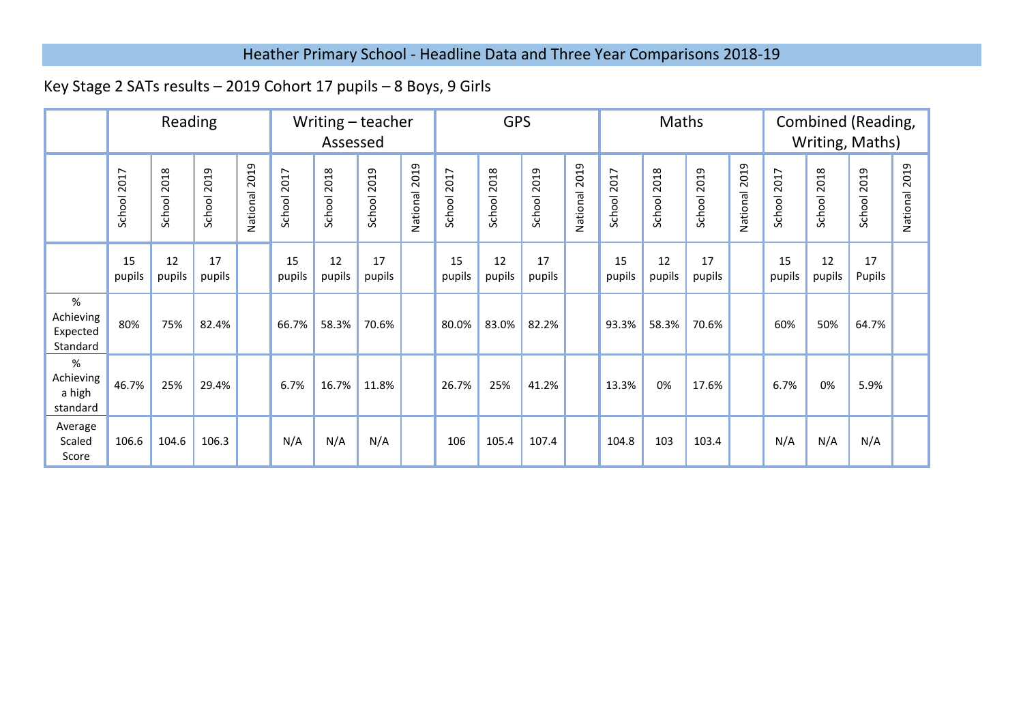## Heather Primary School - Headline Data and Three Year Comparisons 2018-19

## Key Stage 2 SATs results – 2019 Cohort 17 pupils – 8 Boys, 9 Girls

|                                           | Reading      |                |                |                  | Writing - teacher<br>Assessed |                |                | <b>GPS</b>       |                |                | Maths          |                  |                |                | Combined (Reading,<br>Writing, Maths) |                  |                 |                |                |                  |
|-------------------------------------------|--------------|----------------|----------------|------------------|-------------------------------|----------------|----------------|------------------|----------------|----------------|----------------|------------------|----------------|----------------|---------------------------------------|------------------|-----------------|----------------|----------------|------------------|
|                                           | School 2017  | 2018<br>School | 2019<br>School | 2019<br>National | 2017<br>School:               | 2018<br>School | 2019<br>School | 2019<br>National | 2017<br>School | 2018<br>School | 2019<br>School | 2019<br>National | 2017<br>School | 2018<br>School | 2019<br>School                        | 2019<br>National | 2017<br>School: | 2018<br>School | 2019<br>School | 2019<br>National |
|                                           | 15<br>pupils | 12<br>pupils   | 17<br>pupils   |                  | 15<br>pupils                  | 12<br>pupils   | 17<br>pupils   |                  | 15<br>pupils   | 12<br>pupils   | 17<br>pupils   |                  | 15<br>pupils   | 12<br>pupils   | 17<br>pupils                          |                  | 15<br>pupils    | 12<br>pupils   | 17<br>Pupils   |                  |
| $\%$<br>Achieving<br>Expected<br>Standard | 80%          | 75%            | 82.4%          |                  | 66.7%                         | 58.3%          | 70.6%          |                  | 80.0%          | 83.0%          | 82.2%          |                  | 93.3%          | 58.3%          | 70.6%                                 |                  | 60%             | 50%            | 64.7%          |                  |
| $\%$<br>Achieving<br>a high<br>standard   | 46.7%        | 25%            | 29.4%          |                  | 6.7%                          | 16.7%          | 11.8%          |                  | 26.7%          | 25%            | 41.2%          |                  | 13.3%          | 0%             | 17.6%                                 |                  | 6.7%            | 0%             | 5.9%           |                  |
| Average<br>Scaled<br>Score                | 106.6        | 104.6          | 106.3          |                  | N/A                           | N/A            | N/A            |                  | 106            | 105.4          | 107.4          |                  | 104.8          | 103            | 103.4                                 |                  | N/A             | N/A            | N/A            |                  |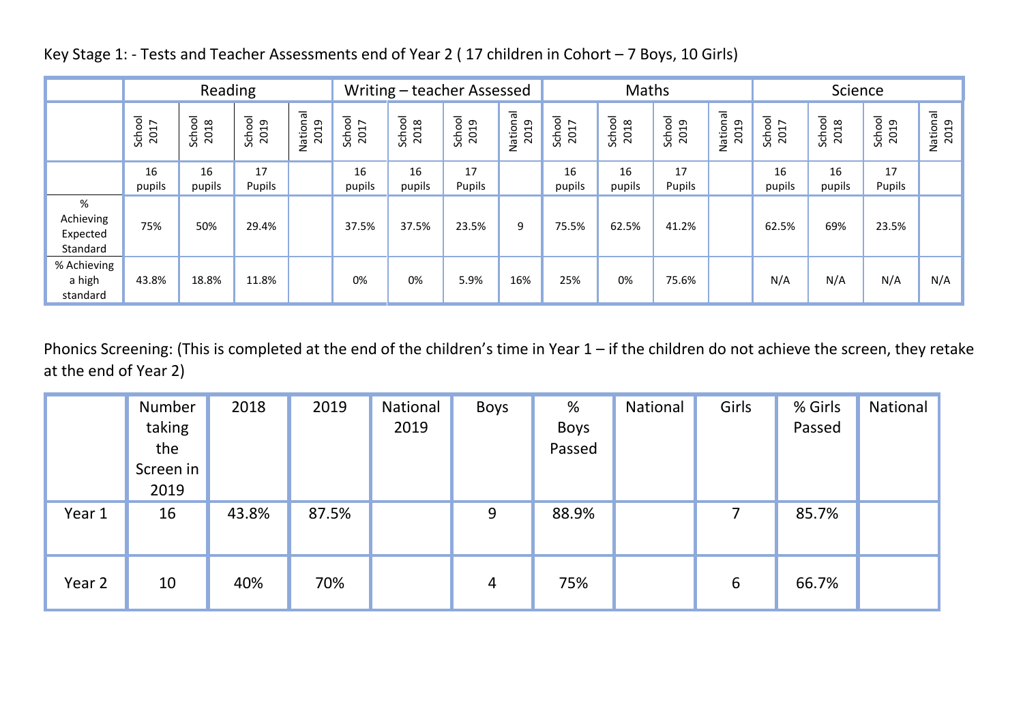|                                        | Reading        |                |                |                  |                |                | Writing – teacher Assessed |                  |                | Maths          |                |                  | Science        |                |                |                  |
|----------------------------------------|----------------|----------------|----------------|------------------|----------------|----------------|----------------------------|------------------|----------------|----------------|----------------|------------------|----------------|----------------|----------------|------------------|
|                                        | School<br>2017 | School<br>2018 | School<br>2019 | National<br>2019 | School<br>2017 | School<br>2018 | School<br>2019             | National<br>2019 | School<br>2017 | School<br>2018 | School<br>2019 | National<br>2019 | School<br>2017 | School<br>2018 | School<br>2019 | National<br>2019 |
|                                        | 16<br>pupils   | 16<br>pupils   | 17<br>Pupils   |                  | 16<br>pupils   | 16<br>pupils   | 17<br>Pupils               |                  | 16<br>pupils   | 16<br>pupils   | 17<br>Pupils   |                  | 16<br>pupils   | 16<br>pupils   | 17<br>Pupils   |                  |
| %<br>Achieving<br>Expected<br>Standard | 75%            | 50%            | 29.4%          |                  | 37.5%          | 37.5%          | 23.5%                      | 9                | 75.5%          | 62.5%          | 41.2%          |                  | 62.5%          | 69%            | 23.5%          |                  |
| % Achieving<br>a high<br>standard      | 43.8%          | 18.8%          | 11.8%          |                  | 0%             | 0%             | 5.9%                       | 16%              | 25%            | 0%             | 75.6%          |                  | N/A            | N/A            | N/A            | N/A              |

Key Stage 1: - Tests and Teacher Assessments end of Year 2 ( 17 children in Cohort – 7 Boys, 10 Girls)

Phonics Screening: (This is completed at the end of the children's time in Year 1 – if the children do not achieve the screen, they retake at the end of Year 2)

|        | Number<br>taking<br>the<br>Screen in<br>2019 | 2018  | 2019  | National<br>2019 | <b>Boys</b>    | %<br><b>Boys</b><br>Passed | National | Girls          | % Girls<br>Passed | National |
|--------|----------------------------------------------|-------|-------|------------------|----------------|----------------------------|----------|----------------|-------------------|----------|
| Year 1 | 16                                           | 43.8% | 87.5% |                  | 9              | 88.9%                      |          | $\overline{7}$ | 85.7%             |          |
| Year 2 | 10                                           | 40%   | 70%   |                  | $\overline{4}$ | 75%                        |          | 6              | 66.7%             |          |